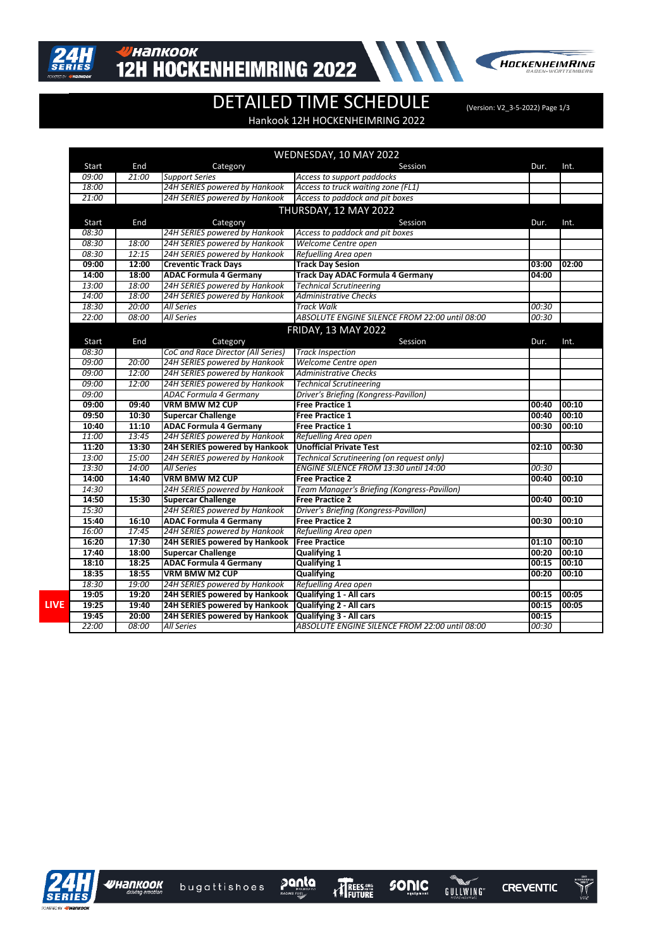



## DETAILED TIME SCHEDULE (Version: V2\_3-5-2022) Page 1/3

Hankook 12H HOCKENHEIMRING 2022

|             | WEDNESDAY, 10 MAY 2022 |       |                                    |                                                |       |       |  |  |
|-------------|------------------------|-------|------------------------------------|------------------------------------------------|-------|-------|--|--|
|             | Start                  | End   | Category                           | Session                                        | Dur.  | Int.  |  |  |
|             | 09:00                  | 21:00 | <b>Support Series</b>              | Access to support paddocks                     |       |       |  |  |
|             | 18:00                  |       | 24H SERIES powered by Hankook      | Access to truck waiting zone (FL1)             |       |       |  |  |
|             | 21:00                  |       | 24H SERIES powered by Hankook      | Access to paddock and pit boxes                |       |       |  |  |
|             | THURSDAY, 12 MAY 2022  |       |                                    |                                                |       |       |  |  |
|             | Start                  | End   | Category                           | Session                                        | Dur.  | Int.  |  |  |
|             | 08:30                  |       | 24H SERIES powered by Hankook      | Access to paddock and pit boxes                |       |       |  |  |
|             | 08:30                  | 18:00 | 24H SERIES powered by Hankook      | Welcome Centre open                            |       |       |  |  |
|             | 08:30                  | 12:15 | 24H SERIES powered by Hankook      | Refuelling Area open                           |       |       |  |  |
|             | 09:00                  | 12:00 | <b>Creventic Track Days</b>        | <b>Track Day Sesion</b>                        | 03:00 | 02:00 |  |  |
|             | 14:00                  | 18:00 | <b>ADAC Formula 4 Germany</b>      | <b>Track Day ADAC Formula 4 Germany</b>        | 04:00 |       |  |  |
|             | 13:00                  | 18:00 | 24H SERIES powered by Hankook      | <b>Technical Scrutineering</b>                 |       |       |  |  |
|             | 14:00                  | 18:00 | 24H SERIES powered by Hankook      | <b>Administrative Checks</b>                   |       |       |  |  |
|             | 18:30                  | 20:00 | All Series                         | <b>Track Walk</b>                              | 00:30 |       |  |  |
|             | 22:00                  | 08:00 | All Series                         | ABSOLUTE ENGINE SILENCE FROM 22:00 until 08:00 | 00:30 |       |  |  |
|             |                        |       |                                    | <b>FRIDAY, 13 MAY 2022</b>                     |       |       |  |  |
|             | Start                  | End   | Category                           | Session                                        | Dur.  | Int.  |  |  |
|             | 08:30                  |       | CoC and Race Director (All Series) | <b>Track Inspection</b>                        |       |       |  |  |
|             | 09:00                  | 20:00 | 24H SERIES powered by Hankook      | Welcome Centre open                            |       |       |  |  |
|             | 09:00                  | 12:00 | 24H SERIES powered by Hankook      | <b>Administrative Checks</b>                   |       |       |  |  |
|             | 09:00                  | 12:00 | 24H SERIES powered by Hankook      | <b>Technical Scrutineering</b>                 |       |       |  |  |
|             | 09:00                  |       | <b>ADAC Formula 4 Germany</b>      | Driver's Briefing (Kongress-Pavillon)          |       |       |  |  |
|             | 09:00                  | 09:40 | <b>VRM BMW M2 CUP</b>              | <b>Free Practice 1</b>                         | 00:40 | 00:10 |  |  |
|             | 09:50                  | 10:30 | <b>Supercar Challenge</b>          | <b>Free Practice 1</b>                         | 00:40 | 00:10 |  |  |
|             | 10:40                  | 11:10 | <b>ADAC Formula 4 Germany</b>      | <b>Free Practice 1</b>                         | 00:30 | 00:10 |  |  |
|             | 11:00                  | 13:45 | 24H SERIES powered by Hankook      | Refuelling Area open                           |       |       |  |  |
|             | 11:20                  | 13:30 | 24H SERIES powered by Hankook      | <b>Unofficial Private Test</b>                 | 02:10 | 00:30 |  |  |
|             | 13:00                  | 15:00 | 24H SERIES powered by Hankook      | Technical Scrutineering (on request only)      |       |       |  |  |
|             | 13:30                  | 14:00 | <b>All Series</b>                  | ENGINE SILENCE FROM 13:30 until 14:00          | 00:30 |       |  |  |
|             | 14:00                  | 14:40 | <b>VRM BMW M2 CUP</b>              | <b>Free Practice 2</b>                         | 00:40 | 00:10 |  |  |
|             | 14:30                  |       | 24H SERIES powered by Hankook      | Team Manager's Briefing (Kongress-Pavillon)    |       |       |  |  |
|             | 14:50                  | 15:30 | <b>Supercar Challenge</b>          | <b>Free Practice 2</b>                         | 00:40 | 00:10 |  |  |
|             | 15:30                  |       | 24H SERIES powered by Hankook      | Driver's Briefing (Kongress-Pavillon)          |       |       |  |  |
|             | 15:40                  | 16:10 | <b>ADAC Formula 4 Germany</b>      | <b>Free Practice 2</b>                         | 00:30 | 00:10 |  |  |
|             | 16:00                  | 17:45 | 24H SERIES powered by Hankook      | Refuelling Area open                           |       |       |  |  |
|             | 16:20                  | 17:30 | 24H SERIES powered by Hankook      | <b>Free Practice</b>                           | 01:10 | 00:10 |  |  |
|             | 17:40                  | 18:00 | <b>Supercar Challenge</b>          | <b>Qualifying 1</b>                            | 00:20 | 00:10 |  |  |
|             | 18:10                  | 18:25 | <b>ADAC Formula 4 Germany</b>      | <b>Qualifying 1</b>                            | 00:15 | 00:10 |  |  |
|             | 18:35                  | 18:55 | <b>VRM BMW M2 CUP</b>              | <b>Qualifying</b>                              | 00:20 | 00:10 |  |  |
|             | 18:30                  | 19:00 | 24H SERIES powered by Hankook      | Refuelling Area open                           |       |       |  |  |
|             | 19:05                  | 19:20 | 24H SERIES powered by Hankook      | <b>Qualifying 1 - All cars</b>                 | 00:15 | 00:05 |  |  |
| <b>LIVE</b> | 19:25                  | 19:40 | 24H SERIES powered by Hankook      | <b>Qualifying 2 - All cars</b>                 | 00:15 | 00:05 |  |  |
|             | 19:45                  | 20:00 | 24H SERIES powered by Hankook      | <b>Qualifying 3 - All cars</b>                 | 00:15 |       |  |  |
|             | 22:00                  | 08:00 | All Series                         | ABSOLUTE ENGINE SILENCE FROM 22:00 until 08:00 | 00:30 |       |  |  |



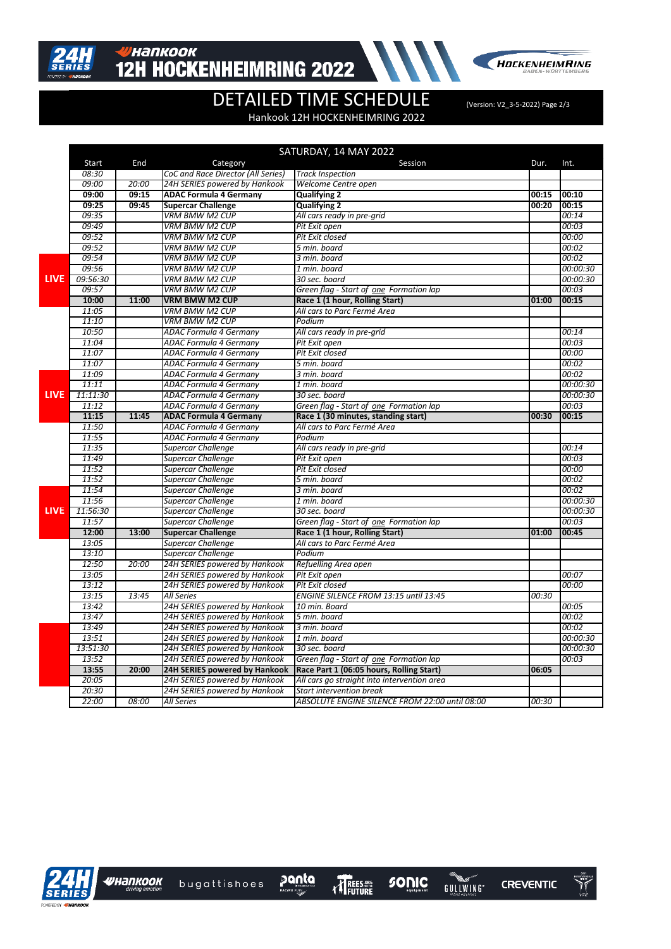

## **ИНАПКООК 12H HOCKENHEIMRING 2022**



## DETAILED TIME SCHEDULE (Version: V2\_3-5-2022) Page 2/3

Hankook 12H HOCKENHEIMRING 2022

|             |          |       |                                    | SATURDAY, 14 MAY 2022                          |       |          |
|-------------|----------|-------|------------------------------------|------------------------------------------------|-------|----------|
|             | Start    | End   | Category                           | Session                                        | Dur.  | Int.     |
|             | 08:30    |       | CoC and Race Director (All Series) | <b>Track Inspection</b>                        |       |          |
|             | 09:00    | 20:00 | 24H SERIES powered by Hankook      | Welcome Centre open                            |       |          |
|             | 09:00    | 09:15 | <b>ADAC Formula 4 Germany</b>      | <b>Qualifying 2</b>                            | 00:15 | 00:10    |
|             | 09:25    | 09:45 | <b>Supercar Challenge</b>          | <b>Qualifying 2</b>                            | 00:20 | 00:15    |
|             | 09:35    |       | <b>VRM BMW M2 CUP</b>              | All cars ready in pre-grid                     |       | 00:14    |
|             | 09:49    |       | <b>VRM BMW M2 CUP</b>              | Pit Exit open                                  |       | 00:03    |
|             | 09:52    |       | <b>VRM BMW M2 CUP</b>              | Pit Exit closed                                |       | 00:00    |
|             | 09:52    |       | <b>VRM BMW M2 CUP</b>              | 5 min. board                                   |       | 00:02    |
|             | 09:54    |       | <b>VRM BMW M2 CUP</b>              | 3 min. board                                   |       | 00:02    |
|             | 09:56    |       | <b>VRM BMW M2 CUP</b>              | 1 min. board                                   |       | 00:00:30 |
| <b>LIVE</b> | 09:56:30 |       | <b>VRM BMW M2 CUP</b>              | 30 sec. board                                  |       | 00:00:30 |
|             | 09:57    |       | <b>VRM BMW M2 CUP</b>              | Green flag - Start of one Formation lap        |       | 00:03    |
|             | 10:00    | 11:00 | <b>VRM BMW M2 CUP</b>              | Race 1 (1 hour, Rolling Start)                 | 01:00 | 00:15    |
|             | 11:05    |       | <b>VRM BMW M2 CUP</b>              | All cars to Parc Fermé Area                    |       |          |
|             | 11:10    |       | <b>VRM BMW M2 CUP</b>              | Podium                                         |       |          |
|             | 10:50    |       | ADAC Formula 4 Germany             | All cars ready in pre-grid                     |       | 00:14    |
|             | 11:04    |       | <b>ADAC Formula 4 Germany</b>      | Pit Exit open                                  |       | 00:03    |
|             | 11:07    |       | ADAC Formula 4 Germany             | Pit Exit closed                                |       | 00:00    |
|             | 11:07    |       | ADAC Formula 4 Germany             | 5 min. board                                   |       | 00:02    |
|             | 11:09    |       | ADAC Formula 4 Germany             | 3 min. board                                   |       | 00:02    |
|             | 11:11    |       | <b>ADAC Formula 4 Germany</b>      | 1 min. board                                   |       | 00:00:30 |
| <b>LIVE</b> | 11:11:30 |       | ADAC Formula 4 Germany             | 30 sec. board                                  |       | 00:00:30 |
|             | 11:12    |       | <b>ADAC Formula 4 Germany</b>      | Green flag - Start of one Formation lap        |       | 00:03    |
|             | 11:15    | 11:45 | <b>ADAC Formula 4 Germany</b>      | Race 1 (30 minutes, standing start)            | 00:30 | 00:15    |
|             | 11:50    |       | ADAC Formula 4 Germany             | All cars to Parc Fermé Area                    |       |          |
|             | 11:55    |       | ADAC Formula 4 Germany             | Podium                                         |       |          |
|             | 11:35    |       | Supercar Challenge                 | All cars ready in pre-grid                     |       | 00:14    |
|             | 11:49    |       | Supercar Challenge                 | Pit Exit open                                  |       | 00:03    |
|             | 11:52    |       | <b>Supercar Challenge</b>          | Pit Exit closed                                |       | 00:00    |
|             | 11:52    |       | Supercar Challenge                 | 5 min. board                                   |       | 00:02    |
|             | 11:54    |       | Supercar Challenge                 | 3 min. board                                   |       | 00:02    |
|             | 11:56    |       | <b>Supercar Challenge</b>          | 1 min. board                                   |       | 00:00:30 |
| <b>LIVE</b> | 11:56:30 |       | Supercar Challenge                 | 30 sec. board                                  |       | 00:00:30 |
|             | 11:57    |       | Supercar Challenge                 | Green flag - Start of one Formation lap        |       | 00:03    |
|             | 12:00    | 13:00 | <b>Supercar Challenge</b>          | Race 1 (1 hour, Rolling Start)                 | 01:00 | 00:45    |
|             | 13:05    |       | Supercar Challenge                 | All cars to Parc Fermé Area                    |       |          |
|             | 13:10    |       | <b>Supercar Challenge</b>          | Podium                                         |       |          |
|             | 12:50    | 20:00 | 24H SERIES powered by Hankook      | Refuelling Area open                           |       |          |
|             | 13:05    |       | 24H SERIES powered by Hankook      | Pit Exit open                                  |       | 00:07    |
|             | 13:12    |       | 24H SERIES powered by Hankook      | Pit Exit closed                                |       | 00:00    |
|             | 13:15    | 13:45 | <b>All Series</b>                  | ENGINE SILENCE FROM 13:15 until 13:45          | 00:30 |          |
|             | 13:42    |       | 24H SERIES powered by Hankook      | 10 min. Board                                  |       | 00:05    |
|             | 13:47    |       | 24H SERIES powered by Hankook      | 5 min. board                                   |       | 00:02    |
|             | 13:49    |       | 24H SERIES powered by Hankook      | 3 min. board                                   |       | 00:02    |
|             | 13:51    |       | 24H SERIES powered by Hankook      | 1 min. board                                   |       | 00:00:30 |
|             | 13:51:30 |       | 24H SERIES powered by Hankook      | 30 sec. board                                  |       | 00:00:30 |
|             | 13:52    |       | 24H SERIES powered by Hankook      | Green flag - Start of one Formation lap        |       | 00:03    |
|             | 13:55    | 20:00 | 24H SERIES powered by Hankook      | Race Part 1 (06:05 hours, Rolling Start)       | 06:05 |          |
|             | 20:05    |       | 24H SERIES powered by Hankook      | All cars go straight into intervention area    |       |          |
|             | 20:30    |       | 24H SERIES powered by Hankook      | <b>Start intervention break</b>                |       |          |
|             | 22:00    | 08:00 | <b>All Series</b>                  | ABSOLUTE ENGINE SILENCE FROM 22:00 until 08:00 | 00:30 |          |